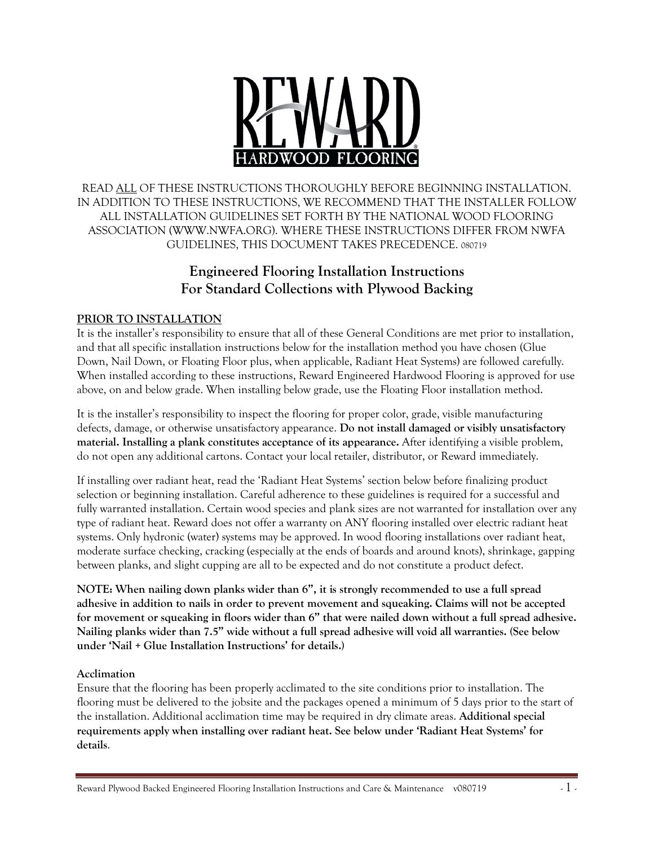

READ ALL OF THESE INSTRUCTIONS THOROUGHLY BEFORE BEGINNING INSTALLATION. IN ADDITION TO THESE INSTRUCTIONS, WE RECOMMEND THAT THE INSTALLER FOLLOW ALL INSTALLATION GUIDELINES SET FORTH BY THE NATIONAL WOOD FLOORING ASSOCIATION (WWW.NWFA.ORG). WHERE THESE INSTRUCTIONS DIFFER FROM NWFA GUIDELINES, THIS DOCUMENT TAKES PRECEDENCE. 080719

# **Engineered Flooring Installation Instructions For Standard Collections with Plywood Backing**

## **PRIOR TO INSTALLATION**

It is the installer's responsibility to ensure that all of these General Conditions are met prior to installation, and that all specific installation instructions below for the installation method you have chosen (Glue Down, Nail Down, or Floating Floor plus, when applicable, Radiant Heat Systems) are followed carefully. When installed according to these instructions, Reward Engineered Hardwood Flooring is approved for use above, on and below grade. When installing below grade, use the Floating Floor installation method.

It is the installer's responsibility to inspect the flooring for proper color, grade, visible manufacturing defects, damage, or otherwise unsatisfactory appearance. **Do not install damaged or visibly unsatisfactory material. Installing a plank constitutes acceptance of its appearance.** After identifying a visible problem, do not open any additional cartons. Contact your local retailer, distributor, or Reward immediately.

If installing over radiant heat, read the 'Radiant Heat Systems' section below before finalizing product selection or beginning installation. Careful adherence to these guidelines is required for a successful and fully warranted installation. Certain wood species and plank sizes are not warranted for installation over any type of radiant heat. Reward does not offer a warranty on ANY flooring installed over electric radiant heat systems. Only hydronic (water) systems may be approved. In wood flooring installations over radiant heat, moderate surface checking, cracking (especially at the ends of boards and around knots), shrinkage, gapping between planks, and slight cupping are all to be expected and do not constitute a product defect.

**NOTE: When nailing down planks wider than 6", it is strongly recommended to use a full spread adhesive in addition to nails in order to prevent movement and squeaking. Claims will not be accepted for movement or squeaking in floors wider than 6" that were nailed down without a full spread adhesive. Nailing planks wider than 7.5" wide without a full spread adhesive will void all warranties. (See below under 'Nail + Glue Installation Instructions' for details.)**

#### **Acclimation**

Ensure that the flooring has been properly acclimated to the site conditions prior to installation. The flooring must be delivered to the jobsite and the packages opened a minimum of 5 days prior to the start of the installation. Additional acclimation time may be required in dry climate areas. **Additional special requirements apply when installing over radiant heat. See below under 'Radiant Heat Systems' for details**.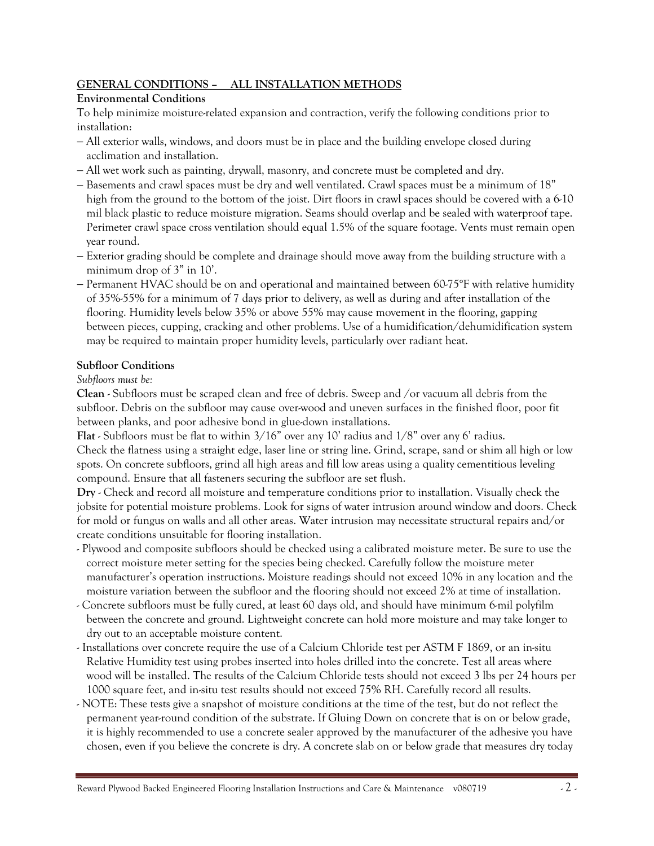### **GENERAL CONDITIONS – ALL INSTALLATION METHODS**

### **Environmental Conditions**

To help minimize moisture-related expansion and contraction, verify the following conditions prior to installation:

- − All exterior walls, windows, and doors must be in place and the building envelope closed during acclimation and installation.
- − All wet work such as painting, drywall, masonry, and concrete must be completed and dry.
- − Basements and crawl spaces must be dry and well ventilated. Crawl spaces must be a minimum of 18" high from the ground to the bottom of the joist. Dirt floors in crawl spaces should be covered with a 6-10 mil black plastic to reduce moisture migration. Seams should overlap and be sealed with waterproof tape. Perimeter crawl space cross ventilation should equal 1.5% of the square footage. Vents must remain open year round.
- − Exterior grading should be complete and drainage should move away from the building structure with a minimum drop of 3" in 10'.
- − Permanent HVAC should be on and operational and maintained between 60-75°F with relative humidity of 35%-55% for a minimum of 7 days prior to delivery, as well as during and after installation of the flooring. Humidity levels below 35% or above 55% may cause movement in the flooring, gapping between pieces, cupping, cracking and other problems. Use of a humidification/dehumidification system may be required to maintain proper humidity levels, particularly over radiant heat.

### **Subfloor Conditions**

*Subfloors must be:*

**Clean** - Subfloors must be scraped clean and free of debris. Sweep and /or vacuum all debris from the subfloor. Debris on the subfloor may cause over-wood and uneven surfaces in the finished floor, poor fit between planks, and poor adhesive bond in glue-down installations.

**Flat** - Subfloors must be flat to within 3/16" over any 10' radius and 1/8" over any 6' radius. Check the flatness using a straight edge, laser line or string line. Grind, scrape, sand or shim all high or low

spots. On concrete subfloors, grind all high areas and fill low areas using a quality cementitious leveling compound. Ensure that all fasteners securing the subfloor are set flush.

**Dry** - Check and record all moisture and temperature conditions prior to installation. Visually check the jobsite for potential moisture problems. Look for signs of water intrusion around window and doors. Check for mold or fungus on walls and all other areas. Water intrusion may necessitate structural repairs and/or create conditions unsuitable for flooring installation.

- Plywood and composite subfloors should be checked using a calibrated moisture meter. Be sure to use the correct moisture meter setting for the species being checked. Carefully follow the moisture meter manufacturer's operation instructions. Moisture readings should not exceed 10% in any location and the moisture variation between the subfloor and the flooring should not exceed 2% at time of installation.
- Concrete subfloors must be fully cured, at least 60 days old, and should have minimum 6-mil polyfilm between the concrete and ground. Lightweight concrete can hold more moisture and may take longer to dry out to an acceptable moisture content.
- Installations over concrete require the use of a Calcium Chloride test per ASTM F 1869, or an in-situ Relative Humidity test using probes inserted into holes drilled into the concrete. Test all areas where wood will be installed. The results of the Calcium Chloride tests should not exceed 3 lbs per 24 hours per 1000 square feet, and in-situ test results should not exceed 75% RH. Carefully record all results.
- NOTE: These tests give a snapshot of moisture conditions at the time of the test, but do not reflect the permanent year-round condition of the substrate. If Gluing Down on concrete that is on or below grade, it is highly recommended to use a concrete sealer approved by the manufacturer of the adhesive you have chosen, even if you believe the concrete is dry. A concrete slab on or below grade that measures dry today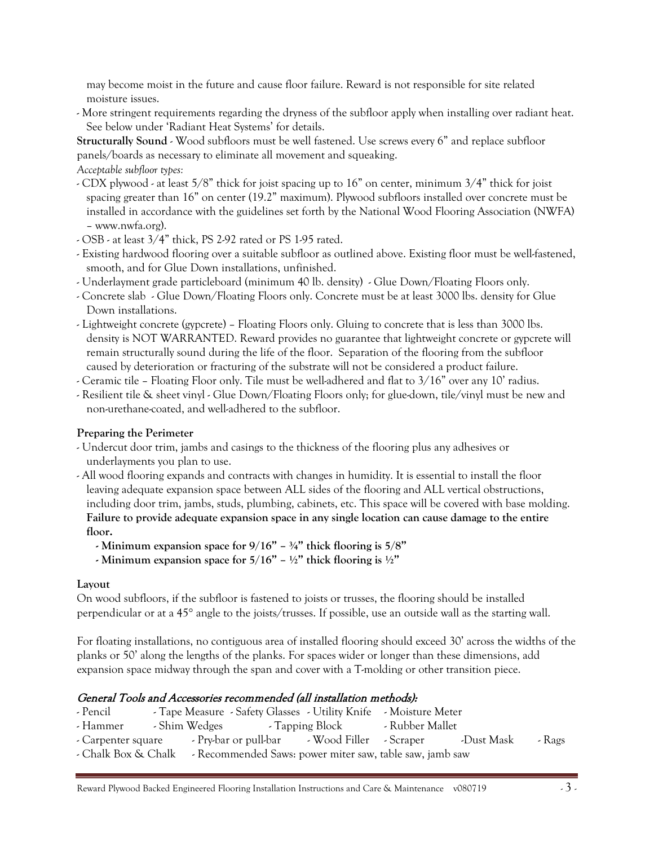may become moist in the future and cause floor failure. Reward is not responsible for site related moisture issues.

- More stringent requirements regarding the dryness of the subfloor apply when installing over radiant heat. See below under 'Radiant Heat Systems' for details.

**Structurally Sound** - Wood subfloors must be well fastened. Use screws every 6" and replace subfloor panels/boards as necessary to eliminate all movement and squeaking.

*Acceptable subfloor types:*

- CDX plywood at least 5/8" thick for joist spacing up to 16" on center, minimum 3/4" thick for joist spacing greater than 16" on center (19.2" maximum). Plywood subfloors installed over concrete must be installed in accordance with the guidelines set forth by the National Wood Flooring Association (NWFA) – www.nwfa.org).
- OSB at least 3/4" thick, PS 2-92 rated or PS 1-95 rated.
- Existing hardwood flooring over a suitable subfloor as outlined above. Existing floor must be well-fastened, smooth, and for Glue Down installations, unfinished.
- Underlayment grade particleboard (minimum 40 lb. density) Glue Down/Floating Floors only.
- Concrete slab Glue Down/Floating Floors only. Concrete must be at least 3000 lbs. density for Glue Down installations.
- Lightweight concrete (gypcrete) Floating Floors only. Gluing to concrete that is less than 3000 lbs. density is NOT WARRANTED. Reward provides no guarantee that lightweight concrete or gypcrete will remain structurally sound during the life of the floor. Separation of the flooring from the subfloor caused by deterioration or fracturing of the substrate will not be considered a product failure.
- Ceramic tile Floating Floor only. Tile must be well-adhered and flat to 3/16" over any 10' radius.
- Resilient tile & sheet vinyl Glue Down/Floating Floors only; for glue-down, tile/vinyl must be new and non-urethane-coated, and well-adhered to the subfloor.

### **Preparing the Perimeter**

- Undercut door trim, jambs and casings to the thickness of the flooring plus any adhesives or underlayments you plan to use.
- All wood flooring expands and contracts with changes in humidity. It is essential to install the floor leaving adequate expansion space between ALL sides of the flooring and ALL vertical obstructions, including door trim, jambs, studs, plumbing, cabinets, etc. This space will be covered with base molding. **Failure to provide adequate expansion space in any single location can cause damage to the entire floor.**
	- **- Minimum expansion space for 9/16" – ¾" thick flooring is 5/8"**
	- **- Minimum expansion space for 5/16" – ½" thick flooring is ½"**

### **Layout**

On wood subfloors, if the subfloor is fastened to joists or trusses, the flooring should be installed perpendicular or at a 45° angle to the joists/trusses. If possible, use an outside wall as the starting wall.

For floating installations, no contiguous area of installed flooring should exceed 30' across the widths of the planks or 50' along the lengths of the planks. For spaces wider or longer than these dimensions, add expansion space midway through the span and cover with a T-molding or other transition piece.

### General Tools and Accessories recommended (all installation methods):

| - Pencil            | - Tape Measure - Safety Glasses - Utility Knife - Moisture Meter |                 |                 |            |        |
|---------------------|------------------------------------------------------------------|-----------------|-----------------|------------|--------|
| - Hammer            | - Shim Wedges                                                    | - Tapping Block | - Rubber Mallet |            |        |
| - Carpenter square  | - Pry-bar or pull-bar - Wood Filler - Scraper                    |                 |                 | -Dust Mask | - Rags |
| - Chalk Box & Chalk | - Recommended Saws: power miter saw, table saw, jamb saw         |                 |                 |            |        |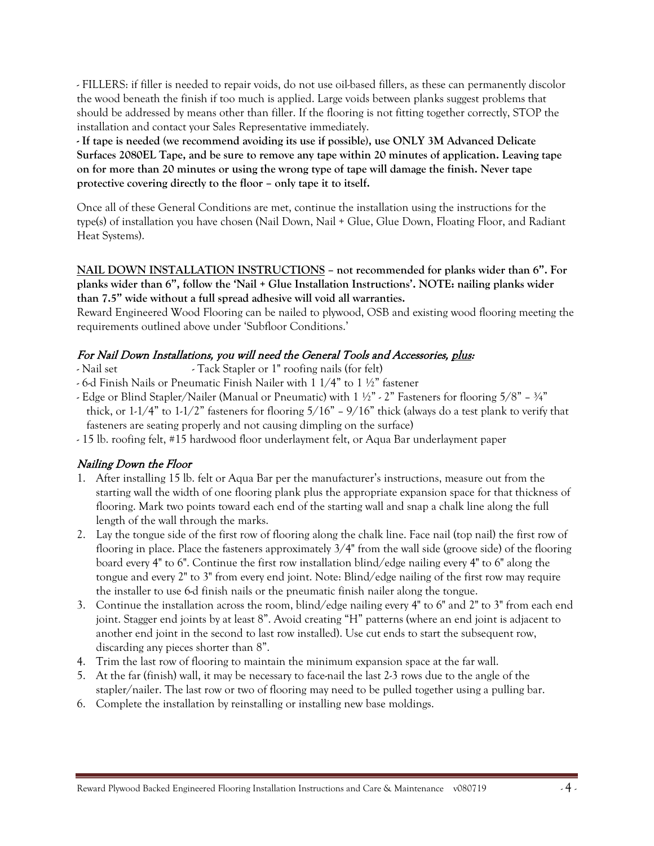- FILLERS: if filler is needed to repair voids, do not use oil-based fillers, as these can permanently discolor the wood beneath the finish if too much is applied. Large voids between planks suggest problems that should be addressed by means other than filler. If the flooring is not fitting together correctly, STOP the installation and contact your Sales Representative immediately.

**- If tape is needed (we recommend avoiding its use if possible), use ONLY 3M Advanced Delicate Surfaces 2080EL Tape, and be sure to remove any tape within 20 minutes of application. Leaving tape on for more than 20 minutes or using the wrong type of tape will damage the finish. Never tape protective covering directly to the floor – only tape it to itself.**

Once all of these General Conditions are met, continue the installation using the instructions for the type(s) of installation you have chosen (Nail Down, Nail + Glue, Glue Down, Floating Floor, and Radiant Heat Systems).

#### **NAIL DOWN INSTALLATION INSTRUCTIONS – not recommended for planks wider than 6". For planks wider than 6", follow the 'Nail + Glue Installation Instructions'. NOTE: nailing planks wider than 7.5" wide without a full spread adhesive will void all warranties.**

Reward Engineered Wood Flooring can be nailed to plywood, OSB and existing wood flooring meeting the requirements outlined above under 'Subfloor Conditions.'

## For Nail Down Installations, you will need the General Tools and Accessories, plus:

- Nail set Tack Stapler or 1" roofing nails (for felt)
- 6-d Finish Nails or Pneumatic Finish Nailer with 1 1/4" to 1 ½" fastener
- Edge or Blind Stapler/Nailer (Manual or Pneumatic) with  $1 \frac{1}{2}$ " 2" Fasteners for flooring  $5/8$ "  $\frac{3}{4}$ " thick, or 1-1/4" to 1-1/2" fasteners for flooring 5/16" – 9/16" thick (always do a test plank to verify that fasteners are seating properly and not causing dimpling on the surface)
- 15 lb. roofing felt, #15 hardwood floor underlayment felt, or Aqua Bar underlayment paper

### Nailing Down the Floor

- 1. After installing 15 lb. felt or Aqua Bar per the manufacturer's instructions, measure out from the starting wall the width of one flooring plank plus the appropriate expansion space for that thickness of flooring. Mark two points toward each end of the starting wall and snap a chalk line along the full length of the wall through the marks.
- 2. Lay the tongue side of the first row of flooring along the chalk line. Face nail (top nail) the first row of flooring in place. Place the fasteners approximately 3/4" from the wall side (groove side) of the flooring board every 4" to 6". Continue the first row installation blind/edge nailing every 4" to 6" along the tongue and every 2" to 3" from every end joint. Note: Blind/edge nailing of the first row may require the installer to use 6-d finish nails or the pneumatic finish nailer along the tongue.
- 3. Continue the installation across the room, blind/edge nailing every 4" to 6" and 2" to 3" from each end joint. Stagger end joints by at least 8". Avoid creating "H" patterns (where an end joint is adjacent to another end joint in the second to last row installed). Use cut ends to start the subsequent row, discarding any pieces shorter than 8".
- 4. Trim the last row of flooring to maintain the minimum expansion space at the far wall.
- 5. At the far (finish) wall, it may be necessary to face-nail the last 2-3 rows due to the angle of the stapler/nailer. The last row or two of flooring may need to be pulled together using a pulling bar.
- 6. Complete the installation by reinstalling or installing new base moldings.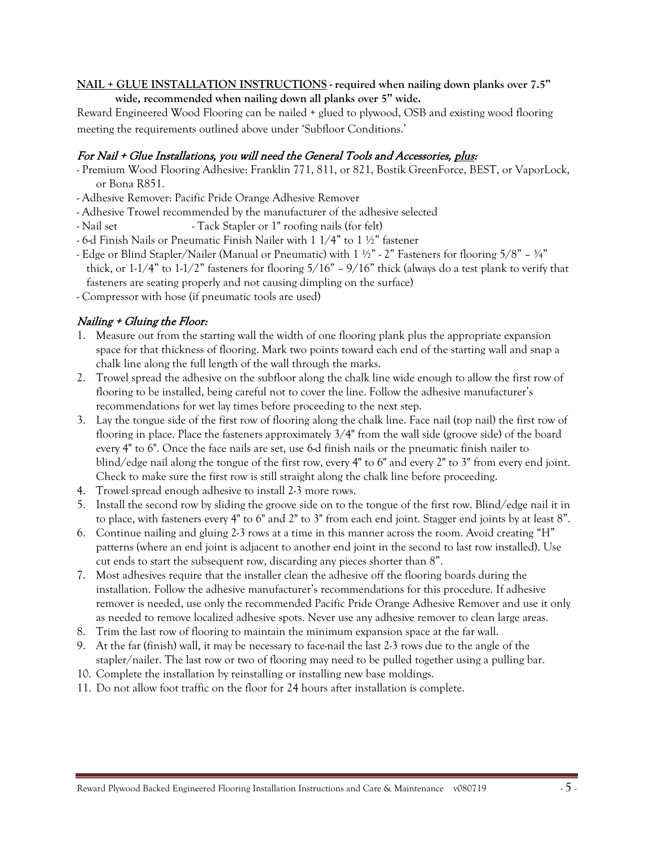#### **NAIL + GLUE INSTALLATION INSTRUCTIONS - required when nailing down planks over 7.5" wide, recommended when nailing down all planks over 5" wide.**

Reward Engineered Wood Flooring can be nailed + glued to plywood, OSB and existing wood flooring meeting the requirements outlined above under 'Subfloor Conditions.'

## For Nail + Glue Installations, you will need the General Tools and Accessories, plus:

- Premium Wood Flooring Adhesive: Franklin 771, 811, or 821, Bostik GreenForce, BEST, or VaporLock, or Bona R851.
- Adhesive Remover: Pacific Pride Orange Adhesive Remover
- Adhesive Trowel recommended by the manufacturer of the adhesive selected
- Nail set Tack Stapler or 1" roofing nails (for felt)
- 6-d Finish Nails or Pneumatic Finish Nailer with 1 1/4" to 1 ½" fastener
- Edge or Blind Stapler/Nailer (Manual or Pneumatic) with  $1 \frac{1}{2}$ " 2" Fasteners for flooring  $5/8$ "  $\frac{3}{4}$ " thick, or  $1-1/4$ " to  $1-1/2$ " fasteners for flooring  $5/16$ " –  $9/16$ " thick (always do a test plank to verify that fasteners are seating properly and not causing dimpling on the surface)
- Compressor with hose (if pneumatic tools are used)

## Nailing + Gluing the Floor:

- Measure out from the starting wall the width of one flooring plank plus the appropriate expansion space for that thickness of flooring. Mark two points toward each end of the starting wall and snap a chalk line along the full length of the wall through the marks.
- 2. Trowel spread the adhesive on the subfloor along the chalk line wide enough to allow the first row of flooring to be installed, being careful not to cover the line. Follow the adhesive manufacturer's recommendations for wet lay times before proceeding to the next step.
- 3. Lay the tongue side of the first row of flooring along the chalk line. Face nail (top nail) the first row of flooring in place. Place the fasteners approximately 3/4" from the wall side (groove side) of the board every 4" to 6". Once the face nails are set, use 6-d finish nails or the pneumatic finish nailer to blind/edge nail along the tongue of the first row, every 4" to 6" and every 2" to 3" from every end joint. Check to make sure the first row is still straight along the chalk line before proceeding.
- 4. Trowel spread enough adhesive to install 2-3 more rows.
- 5. Install the second row by sliding the groove side on to the tongue of the first row. Blind/edge nail it in to place, with fasteners every 4" to 6" and 2" to 3" from each end joint. Stagger end joints by at least 8".
- 6. Continue nailing and gluing 2-3 rows at a time in this manner across the room. Avoid creating "H" patterns (where an end joint is adjacent to another end joint in the second to last row installed). Use cut ends to start the subsequent row, discarding any pieces shorter than 8".
- 7. Most adhesives require that the installer clean the adhesive off the flooring boards during the installation. Follow the adhesive manufacturer's recommendations for this procedure. If adhesive remover is needed, use only the recommended Pacific Pride Orange Adhesive Remover and use it only as needed to remove localized adhesive spots. Never use any adhesive remover to clean large areas.
- 8. Trim the last row of flooring to maintain the minimum expansion space at the far wall.
- 9. At the far (finish) wall, it may be necessary to face-nail the last 2-3 rows due to the angle of the stapler/nailer. The last row or two of flooring may need to be pulled together using a pulling bar.
- 10. Complete the installation by reinstalling or installing new base moldings.
- 11. Do not allow foot traffic on the floor for 24 hours after installation is complete.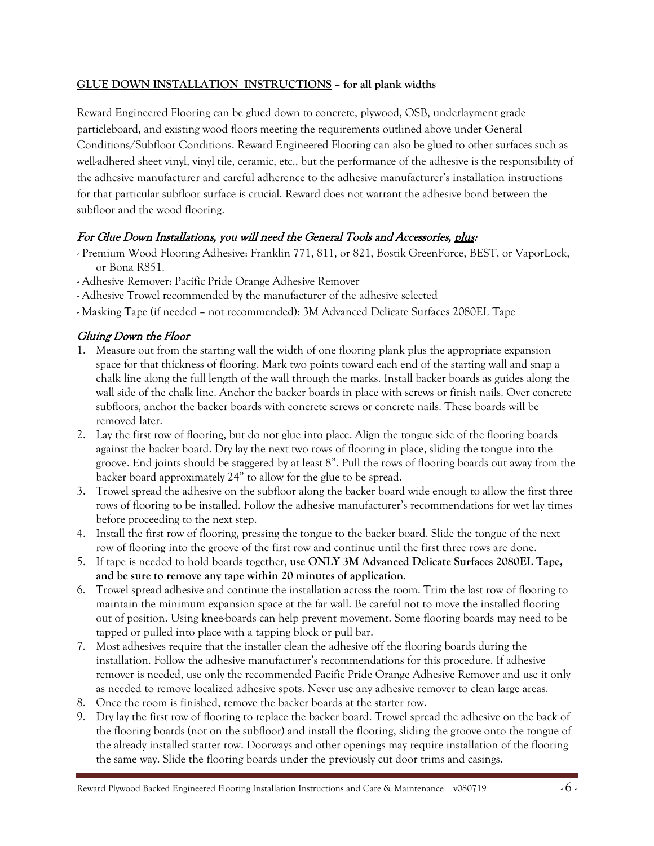### **GLUE DOWN INSTALLATION INSTRUCTIONS – for all plank widths**

Reward Engineered Flooring can be glued down to concrete, plywood, OSB, underlayment grade particleboard, and existing wood floors meeting the requirements outlined above under General Conditions/Subfloor Conditions. Reward Engineered Flooring can also be glued to other surfaces such as well-adhered sheet vinyl, vinyl tile, ceramic, etc., but the performance of the adhesive is the responsibility of the adhesive manufacturer and careful adherence to the adhesive manufacturer's installation instructions for that particular subfloor surface is crucial. Reward does not warrant the adhesive bond between the subfloor and the wood flooring.

## For Glue Down Installations, you will need the General Tools and Accessories, plus:

- Premium Wood Flooring Adhesive: Franklin 771, 811, or 821, Bostik GreenForce, BEST, or VaporLock, or Bona R851.
- Adhesive Remover: Pacific Pride Orange Adhesive Remover
- Adhesive Trowel recommended by the manufacturer of the adhesive selected
- Masking Tape (if needed not recommended): 3M Advanced Delicate Surfaces 2080EL Tape

## Gluing Down the Floor

- 1. Measure out from the starting wall the width of one flooring plank plus the appropriate expansion space for that thickness of flooring. Mark two points toward each end of the starting wall and snap a chalk line along the full length of the wall through the marks. Install backer boards as guides along the wall side of the chalk line. Anchor the backer boards in place with screws or finish nails. Over concrete subfloors, anchor the backer boards with concrete screws or concrete nails. These boards will be removed later.
- 2. Lay the first row of flooring, but do not glue into place. Align the tongue side of the flooring boards against the backer board. Dry lay the next two rows of flooring in place, sliding the tongue into the groove. End joints should be staggered by at least 8". Pull the rows of flooring boards out away from the backer board approximately 24" to allow for the glue to be spread.
- 3. Trowel spread the adhesive on the subfloor along the backer board wide enough to allow the first three rows of flooring to be installed. Follow the adhesive manufacturer's recommendations for wet lay times before proceeding to the next step.
- 4. Install the first row of flooring, pressing the tongue to the backer board. Slide the tongue of the next row of flooring into the groove of the first row and continue until the first three rows are done.
- 5. If tape is needed to hold boards together, **use ONLY 3M Advanced Delicate Surfaces 2080EL Tape, and be sure to remove any tape within 20 minutes of application**.
- 6. Trowel spread adhesive and continue the installation across the room. Trim the last row of flooring to maintain the minimum expansion space at the far wall. Be careful not to move the installed flooring out of position. Using knee-boards can help prevent movement. Some flooring boards may need to be tapped or pulled into place with a tapping block or pull bar.
- 7. Most adhesives require that the installer clean the adhesive off the flooring boards during the installation. Follow the adhesive manufacturer's recommendations for this procedure. If adhesive remover is needed, use only the recommended Pacific Pride Orange Adhesive Remover and use it only as needed to remove localized adhesive spots. Never use any adhesive remover to clean large areas.
- 8. Once the room is finished, remove the backer boards at the starter row.
- 9. Dry lay the first row of flooring to replace the backer board. Trowel spread the adhesive on the back of the flooring boards (not on the subfloor) and install the flooring, sliding the groove onto the tongue of the already installed starter row. Doorways and other openings may require installation of the flooring the same way. Slide the flooring boards under the previously cut door trims and casings.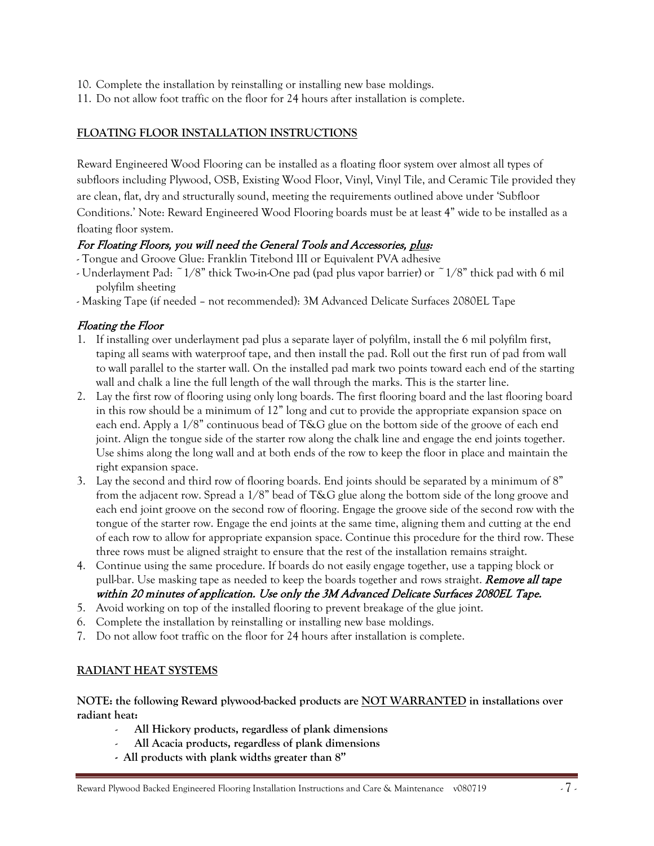- 10. Complete the installation by reinstalling or installing new base moldings.
- 11. Do not allow foot traffic on the floor for 24 hours after installation is complete.

## **FLOATING FLOOR INSTALLATION INSTRUCTIONS**

Reward Engineered Wood Flooring can be installed as a floating floor system over almost all types of subfloors including Plywood, OSB, Existing Wood Floor, Vinyl, Vinyl Tile, and Ceramic Tile provided they are clean, flat, dry and structurally sound, meeting the requirements outlined above under 'Subfloor Conditions.' Note: Reward Engineered Wood Flooring boards must be at least 4" wide to be installed as a floating floor system.

## For Floating Floors, you will need the General Tools and Accessories, plus:

- Tongue and Groove Glue: Franklin Titebond III or Equivalent PVA adhesive
- Underlayment Pad: ~1/8" thick Two-in-One pad (pad plus vapor barrier) or ~1/8" thick pad with 6 mil polyfilm sheeting
- Masking Tape (if needed not recommended): 3M Advanced Delicate Surfaces 2080EL Tape

## Floating the Floor

- 1. If installing over underlayment pad plus a separate layer of polyfilm, install the 6 mil polyfilm first, taping all seams with waterproof tape, and then install the pad. Roll out the first run of pad from wall to wall parallel to the starter wall. On the installed pad mark two points toward each end of the starting wall and chalk a line the full length of the wall through the marks. This is the starter line.
- 2. Lay the first row of flooring using only long boards. The first flooring board and the last flooring board in this row should be a minimum of 12" long and cut to provide the appropriate expansion space on each end. Apply a 1/8" continuous bead of T&G glue on the bottom side of the groove of each end joint. Align the tongue side of the starter row along the chalk line and engage the end joints together. Use shims along the long wall and at both ends of the row to keep the floor in place and maintain the right expansion space.
- 3. Lay the second and third row of flooring boards. End joints should be separated by a minimum of 8" from the adjacent row. Spread a 1/8" bead of T&G glue along the bottom side of the long groove and each end joint groove on the second row of flooring. Engage the groove side of the second row with the tongue of the starter row. Engage the end joints at the same time, aligning them and cutting at the end of each row to allow for appropriate expansion space. Continue this procedure for the third row. These three rows must be aligned straight to ensure that the rest of the installation remains straight.
- 4. Continue using the same procedure. If boards do not easily engage together, use a tapping block or pull-bar. Use masking tape as needed to keep the boards together and rows straight. **Remove all tape** within 20 minutes of application. Use only the 3M Advanced Delicate Surfaces 2080EL Tape.
- 5. Avoid working on top of the installed flooring to prevent breakage of the glue joint.
- 6. Complete the installation by reinstalling or installing new base moldings.
- 7. Do not allow foot traffic on the floor for 24 hours after installation is complete.

## **RADIANT HEAT SYSTEMS**

**NOTE: the following Reward plywood-backed products are NOT WARRANTED in installations over radiant heat:**

- **All Hickory products, regardless of plank dimensions**
- **All Acacia products, regardless of plank dimensions**
- **All products with plank widths greater than 8"**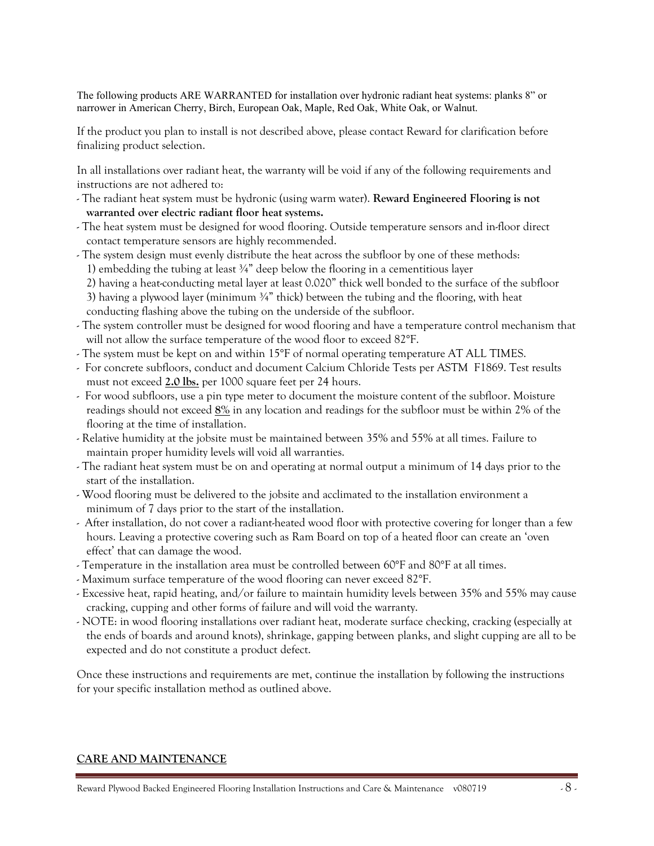The following products ARE WARRANTED for installation over hydronic radiant heat systems: planks 8" or narrower in American Cherry, Birch, European Oak, Maple, Red Oak, White Oak, or Walnut.

If the product you plan to install is not described above, please contact Reward for clarification before finalizing product selection.

In all installations over radiant heat, the warranty will be void if any of the following requirements and instructions are not adhered to:

- The radiant heat system must be hydronic (using warm water). **Reward Engineered Flooring is not warranted over electric radiant floor heat systems.**
- The heat system must be designed for wood flooring. Outside temperature sensors and in-floor direct contact temperature sensors are highly recommended.
- The system design must evenly distribute the heat across the subfloor by one of these methods: 1) embedding the tubing at least ¾" deep below the flooring in a cementitious layer
	- 2) having a heat-conducting metal layer at least 0.020" thick well bonded to the surface of the subfloor

3) having a plywood layer (minimum  $\frac{3}{4}$ " thick) between the tubing and the flooring, with heat conducting flashing above the tubing on the underside of the subfloor.

- The system controller must be designed for wood flooring and have a temperature control mechanism that will not allow the surface temperature of the wood floor to exceed 82°F.
- The system must be kept on and within 15°F of normal operating temperature AT ALL TIMES.
- For concrete subfloors, conduct and document Calcium Chloride Tests per ASTM F1869. Test results must not exceed **2.0 lbs.** per 1000 square feet per 24 hours.
- For wood subfloors, use a pin type meter to document the moisture content of the subfloor. Moisture readings should not exceed **8%** in any location and readings for the subfloor must be within 2% of the flooring at the time of installation.
- Relative humidity at the jobsite must be maintained between 35% and 55% at all times. Failure to maintain proper humidity levels will void all warranties.
- The radiant heat system must be on and operating at normal output a minimum of 14 days prior to the start of the installation.
- Wood flooring must be delivered to the jobsite and acclimated to the installation environment a minimum of 7 days prior to the start of the installation.
- After installation, do not cover a radiant-heated wood floor with protective covering for longer than a few hours. Leaving a protective covering such as Ram Board on top of a heated floor can create an 'oven effect' that can damage the wood.
- Temperature in the installation area must be controlled between 60°F and 80°F at all times.
- Maximum surface temperature of the wood flooring can never exceed 82°F.
- Excessive heat, rapid heating, and/or failure to maintain humidity levels between 35% and 55% may cause cracking, cupping and other forms of failure and will void the warranty.
- NOTE: in wood flooring installations over radiant heat, moderate surface checking, cracking (especially at the ends of boards and around knots), shrinkage, gapping between planks, and slight cupping are all to be expected and do not constitute a product defect.

Once these instructions and requirements are met, continue the installation by following the instructions for your specific installation method as outlined above.

### **CARE AND MAINTENANCE**